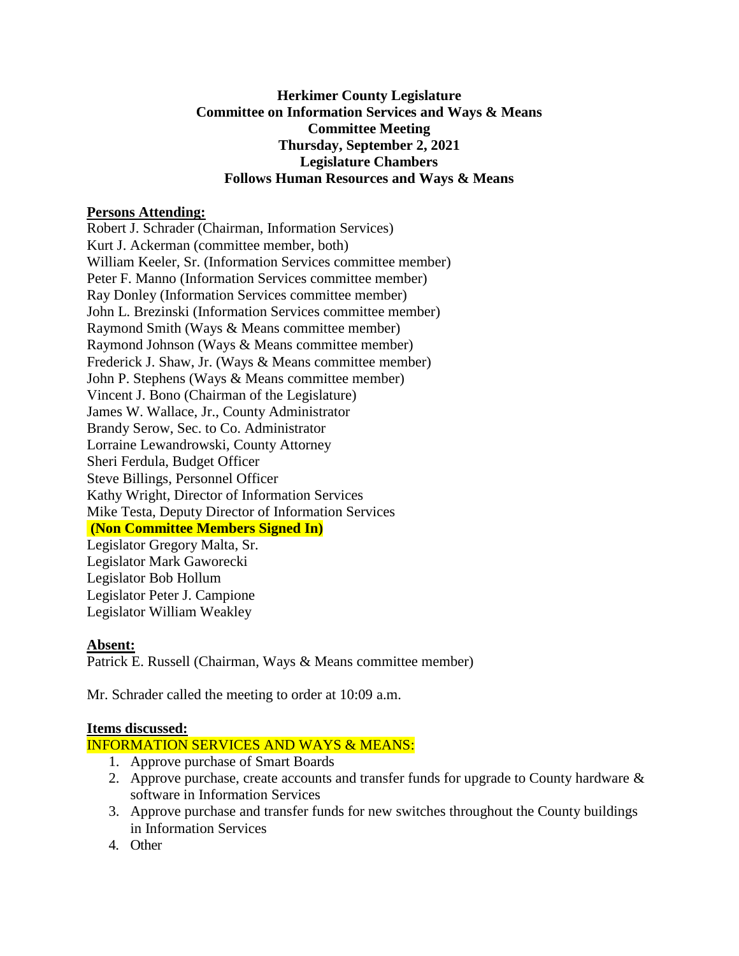## **Herkimer County Legislature Committee on Information Services and Ways & Means Committee Meeting Thursday, September 2, 2021 Legislature Chambers Follows Human Resources and Ways & Means**

### **Persons Attending:**

Robert J. Schrader (Chairman, Information Services) Kurt J. Ackerman (committee member, both) William Keeler, Sr. (Information Services committee member) Peter F. Manno (Information Services committee member) Ray Donley (Information Services committee member) John L. Brezinski (Information Services committee member) Raymond Smith (Ways & Means committee member) Raymond Johnson (Ways & Means committee member) Frederick J. Shaw, Jr. (Ways & Means committee member) John P. Stephens (Ways & Means committee member) Vincent J. Bono (Chairman of the Legislature) James W. Wallace, Jr., County Administrator Brandy Serow, Sec. to Co. Administrator Lorraine Lewandrowski, County Attorney Sheri Ferdula, Budget Officer Steve Billings, Personnel Officer Kathy Wright, Director of Information Services Mike Testa, Deputy Director of Information Services **(Non Committee Members Signed In)** Legislator Gregory Malta, Sr. Legislator Mark Gaworecki Legislator Bob Hollum Legislator Peter J. Campione Legislator William Weakley

# **Absent:**

Patrick E. Russell (Chairman, Ways & Means committee member)

Mr. Schrader called the meeting to order at 10:09 a.m.

#### **Items discussed:**

## INFORMATION SERVICES AND WAYS & MEANS:

- 1. Approve purchase of Smart Boards
- 2. Approve purchase, create accounts and transfer funds for upgrade to County hardware  $\&$ software in Information Services
- 3. Approve purchase and transfer funds for new switches throughout the County buildings in Information Services
- 4. Other